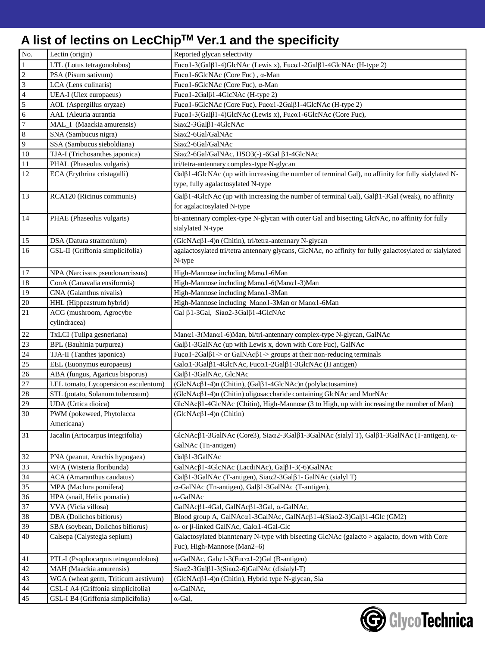## **A list of lectins on LecChipTM Ver.1 and the specificity**

| No.                                                                                                             | Lectin (origin)                                                | Reported glycan selectivity                                                                                                                                            |
|-----------------------------------------------------------------------------------------------------------------|----------------------------------------------------------------|------------------------------------------------------------------------------------------------------------------------------------------------------------------------|
|                                                                                                                 | LTL (Lotus tetragonolobus)                                     | Fuca1-3(Galβ1-4)GlcNAc (Lewis x), Fuca1-2Galβ1-4GlcNAc (H-type 2)                                                                                                      |
|                                                                                                                 | PSA (Pisum sativum)                                            | Fucαl-6GlcNAc (Core Fuc), α-Man                                                                                                                                        |
|                                                                                                                 | LCA (Lens culinaris)                                           | Fucα1-6GlcNAc (Core Fuc), α-Man                                                                                                                                        |
|                                                                                                                 | UEA-I (Ulex europaeus)                                         | Fucα1-2Galβ1-4GlcNAc (H-type 2)                                                                                                                                        |
|                                                                                                                 | AOL (Aspergillus oryzae)                                       | Fucα1-6GlcNAc (Core Fuc), Fucα1-2Galβ1-4GlcNAc (H-type 2)                                                                                                              |
| $\frac{1}{2}$ $\frac{2}{3}$ $\frac{3}{4}$ $\frac{4}{5}$ $\frac{5}{6}$ $\frac{6}{7}$ $\frac{7}{8}$ $\frac{8}{9}$ | AAL (Aleuria aurantia                                          | Fucα1-3(Galβ1-4)GlcNAc (Lewis x), Fucα1-6GlcNAc (Core Fuc),                                                                                                            |
|                                                                                                                 | MAL I (Maackia amurensis)                                      | $Sia\alpha$ 2-3Gal $\beta$ 1-4GlcNAc                                                                                                                                   |
|                                                                                                                 | SNA (Sambucus nigra)                                           | Siaα2-6Gal/GalNAc                                                                                                                                                      |
|                                                                                                                 | SSA (Sambucus sieboldiana)                                     | Siaα2-6Gal/GalNAc                                                                                                                                                      |
| 10                                                                                                              | TJA-I (Trichosanthes japonica)                                 | Siaα2-6Gal/GalNAc, HSO3(-) -6Gal β1-4GlcNAc                                                                                                                            |
| <sup>11</sup>                                                                                                   | PHAL (Phaseolus vulgaris)                                      | tri/tetra-antennary complex-type N-glycan                                                                                                                              |
| $\overline{12}$                                                                                                 | ECA (Erythrina cristagalli)                                    | Galß1-4GlcNAc (up with increasing the number of terminal Gal), no affinity for fully sialylated N-                                                                     |
|                                                                                                                 |                                                                | type, fully agalactosylated N-type                                                                                                                                     |
| $\overline{13}$                                                                                                 | RCA120 (Ricinus communis)                                      | Galß1-4GlcNAc (up with increasing the number of terminal Gal), Galß1-3Gal (weak), no affinity                                                                          |
|                                                                                                                 |                                                                | for agalactosylated N-type                                                                                                                                             |
| 14                                                                                                              | PHAE (Phaseolus vulgaris)                                      | bi-antennary complex-type N-glycan with outer Gal and bisecting GlcNAc, no affinity for fully                                                                          |
|                                                                                                                 |                                                                | sialylated N-type                                                                                                                                                      |
|                                                                                                                 |                                                                |                                                                                                                                                                        |
| 15                                                                                                              | DSA (Datura stramonium)                                        | $(GlcNAc\beta1-4)$ n (Chitin), tri/tetra-antennary N-glycan<br>agalactosylated tri/tetra antennary glycans, GlcNAc, no affinity for fully galactosylated or sialylated |
| 16                                                                                                              | GSL-II (Griffonia simplicifolia)                               | N-type                                                                                                                                                                 |
|                                                                                                                 |                                                                |                                                                                                                                                                        |
| $\boxed{17}$                                                                                                    | NPA (Narcissus pseudonarcissus)                                | High-Mannose including Manα1-6Man                                                                                                                                      |
| 18                                                                                                              | ConA (Canavalia ensiformis)                                    | High-Mannose including Manα1-6(Manα1-3)Man                                                                                                                             |
| 19                                                                                                              | GNA (Galanthus nivalis)                                        | High-Mannose including Mana1-3Man                                                                                                                                      |
| 20                                                                                                              | HHL (Hippeastrum hybrid)                                       | High-Mannose including Manα1-3Man or Manα1-6Man                                                                                                                        |
| $\overline{21}$                                                                                                 | ACG (mushroom, Agrocybe                                        | Gal β1-3Gal, Siaα2-3Galβ1-4GlcNAc                                                                                                                                      |
|                                                                                                                 | cylindracea)                                                   |                                                                                                                                                                        |
| 22                                                                                                              | TxLCI (Tulipa gesneriana)                                      | Manα1-3(Manα1-6)Man, bi/tri-antennary complex-type N-glycan, GalNAc                                                                                                    |
| 23                                                                                                              | BPL (Bauhinia purpurea)                                        | Galß1-3GalNAc (up with Lewis x, down with Core Fuc), GalNAc                                                                                                            |
| $\overline{24}$                                                                                                 | TJA-II (Tanthes japonica)                                      | Fuc $\alpha$ 1-2Gal $\beta$ 1-> or GalNAc $\beta$ 1-> groups at their non-reducing terminals                                                                           |
| 25                                                                                                              | EEL (Euonymus europaeus)                                       | Galα1-3Galβ1-4GlcNAc, Fucα1-2Galβ1-3GlcNAc (H antigen)                                                                                                                 |
| $\overline{26}$                                                                                                 | ABA (fungus, Agaricus bisporus)                                | Galß1-3GalNAc, GlcNAc                                                                                                                                                  |
| 27                                                                                                              | LEL tomato, Lycopersicon esculentum)                           | (GlcNAcβ1-4)n (Chitin), (Galβ1-4GlcNAc)n (polylactosamine)                                                                                                             |
| 28                                                                                                              | STL (potato, Solanum tuberosum)                                | (GlcNAcβ1-4)n (Chitin) oligosaccharide containing GlcNAc and MurNAc                                                                                                    |
| 29                                                                                                              | UDA (Urtica dioica)                                            | $GlcNAc\beta 1-4GlcNAc$ (Chitin), High-Mannose (3 to High, up with increasing the number of Man)                                                                       |
| 30                                                                                                              | PWM (pokeweed, Phytolacca                                      | $(GlcNAc\beta1-4)n$ (Chitin)                                                                                                                                           |
|                                                                                                                 | Americana)                                                     |                                                                                                                                                                        |
| 31                                                                                                              | Jacalin (Artocarpus integrifolia)                              | GlcNAcβ1-3GalNAc (Core3), Siaα2-3Galβ1-3GalNAc (sialyl T), Galβ1-3GalNAc (T-antigen), α-                                                                               |
|                                                                                                                 |                                                                | GalNAc (Tn-antigen)                                                                                                                                                    |
| 32                                                                                                              | PNA (peanut, Arachis hypogaea)                                 | Galß1-3GalNAc                                                                                                                                                          |
| 33                                                                                                              | WFA (Wisteria floribunda)                                      | GalNAcβ1-4GlcNAc (LacdiNAc), Galβ1-3(-6)GalNAc                                                                                                                         |
| 34                                                                                                              | ACA (Amaranthus caudatus)                                      | Galβ1-3GalNAc (T-antigen), Siaα2-3Galβ1-GalNAc (sialyl T)                                                                                                              |
| 35                                                                                                              | MPA (Maclura pomifera)                                         | α-GalNAc (Tn-antigen), Galβ1-3GalNAc (T-antigen),                                                                                                                      |
| 36                                                                                                              | HPA (snail, Helix pomatia)                                     | α-GalNAc                                                                                                                                                               |
| 37                                                                                                              | VVA (Vicia villosa)                                            | GalNAcβ1-4Gal, GalNAcβ1-3Gal, α-GalNAc,                                                                                                                                |
| 38                                                                                                              | DBA (Dolichos biflorus)                                        | Blood group A, GalNAcα1-3GalNAc, GalNAcβ1-4(Siaα2-3)Galβ1-4Glc (GM2)                                                                                                   |
| 39                                                                                                              | SBA (soybean, Dolichos biflorus)                               | $\alpha$ - or $\beta$ -linked GalNAc, Gal $\alpha$ 1-4Gal-Glc                                                                                                          |
| 40                                                                                                              | Calsepa (Calystegia sepium)                                    | Galactosylated bianntenary N-type with bisecting GlcNAc (galacto > agalacto, down with Core                                                                            |
|                                                                                                                 |                                                                | Fuc), High-Mannose (Man2-6)                                                                                                                                            |
| 41                                                                                                              |                                                                |                                                                                                                                                                        |
|                                                                                                                 | PTL-I (Psophocarpus tetragonolobus)<br>MAH (Maackia amurensis) | $\alpha$ -GalNAc, Gal $\alpha$ 1-3(Fuc $\alpha$ 1-2)Gal (B-antigen)                                                                                                    |
| 42                                                                                                              | WGA (wheat germ, Triticum aestivum)                            | Siaα2-3Galβ1-3(Siaα2-6)GalNAc (disialyl-T)<br>$(GlcNAc\beta1-4)n$ (Chitin), Hybrid type N-glycan, Sia                                                                  |
| 43                                                                                                              |                                                                |                                                                                                                                                                        |
| 44<br>45                                                                                                        | GSL-I A4 (Griffonia simplicifolia)                             | $\alpha$ -GalNAc,                                                                                                                                                      |
|                                                                                                                 | GSL-I B4 (Griffonia simplicifolia)                             | $\alpha$ -Gal,                                                                                                                                                         |